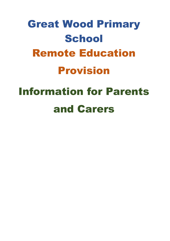# Great Wood Primary **School** Remote Education Provision Information for Parents and Carers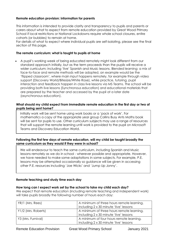# **Remote education provision: information for parents**

This information is intended to provide clarity and transparency to pupils and parents or carers about what to expect from remote education provided by Great Wood Primary School if local restrictions or National Lockdowns require whole school closures, entire cohorts (or bubbles) to remain at home.

For details of what to expect where individual pupils are self-isolating, please see the final section of this page.

# **The remote curriculum: what is taught to pupils at home**

 A pupil's working week of being educated remotely might look different from our standard approach initially, but as the term proceeds than the pupils will receive a wider curriculum; including 'live' Spanish and Music lessons. Blended learning: a mix of face-to-face and remote methods will be adopted, an example would be the 'flipped classroom', where main input happens remotely, for example through video support (Discovery World/Bitesize/White Rose), while practice, tutoring, pupil interaction and feedback happen in class live lessons via MS Teams. The school will be providing both live lessons (Synchronous education) and educational materials that are prepared by the teacher and accessed by the pupil at a later date (asynchronous education).

## **What should my child expect from immediate remote education in the first day or two of pupils being sent home?**

Initially work will be sent home using work books or a 'pack of work'. For mathematics a copy of the appropriate year group Collins Busy Ants Maths book will be sent for pupils to use. Other curriculum subjects may use a range of resources that will support the remote learning until work is provided to the pupil on Microsoft Teams and Discovery Education World.

# **Following the first few days of remote education, will my child be taught broadly the same curriculum as they would if they were in school?**

We will endeavour to teach the same curriculum, including Spanish and Music lessons remotely as we do in school - wherever possible and appropriate. However, we have needed to make some adaptations in some subjects. For example, P.E. lessons may be attempted occasionally so guidance will be given in accessing other P.E. resources including 'Joe Wicks' and 'Jump Up Jonny'.

# **Remote teaching and study time each day**

#### **How long can I expect work set by the school to take my child each day?**

We expect that remote education (including remote teaching and independent work) will take pupils broadly the following number of hours each day:

| YR/1 (Mrs. Rees)    | A minimum of three hours remote learning, |
|---------------------|-------------------------------------------|
|                     | including 2 x 30 minute 'live' lessons    |
| Y1/2 (Mrs. Roberts) | A minimum of three hours remote learning, |
|                     | including 2 x 30 minute 'live' lessons    |
| Y3 (Mrs. Furnival)  | A minimum of four hours remote learning,  |
|                     | including 2 x 30 minute 'live' lessons    |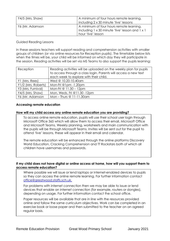| Y4/5 (Mrs. Shaw) | A minimum of four hours remote learning,<br>including 2 x 30 minute 'live' lessons                                  |
|------------------|---------------------------------------------------------------------------------------------------------------------|
| Y6 (Mr. Adamson  | A minimum of four hours remote learning,<br>I including 1 x 30 minute 'live' lesson and 1 x 1<br>hour 'live' lesson |

Guided Reading Lessons

In these sessions teachers will support reading and comprehension activities with smaller groups of children (or via online resources for Reception pupils). The timetable below lists when the times will be, your child will be informed on which day they will participate in the session. Reading activities will be set via MS Teams to also support the pupils learning:

| Reception           | Reading activities will be uploaded on the weekly plan for pupils<br>to access through a class login. Parents will access a new text<br>each week to explore with their child. |
|---------------------|--------------------------------------------------------------------------------------------------------------------------------------------------------------------------------|
| Y1 (Mrs. Rees)      | Wed @ 10.20-10.40am                                                                                                                                                            |
| Y1/2 (Mrs. Roberts) | Mon-Fri @1pm -1.20pm                                                                                                                                                           |
| Y3 (Mrs. Furnival)  | Mon-Fri @ 11.30 - 12pm                                                                                                                                                         |
| Y4/5 (Mrs. Shaw)    | Mon, Weds, Fri @11.30 -12pm                                                                                                                                                    |
| Y6 (Mr. Adamson     | Mon - Thurs @ $11-11.30$ am                                                                                                                                                    |

## **Accessing remote education**

#### **How will my child access any online remote education you are providing?**

To access online remote education, pupils will use their school user login through Microsoft Office 365 which will allow them to access their email, Microsoft Office and Microsoft Teams. Weekly planning, worksheets and main communication with the pupils will be through Microsoft Teams. Invites will be sent out for the pupil to attend 'live' lessons, these will appear in their email and calendar.

The remote education will be enhanced through the online platforms Discovery World Education, Cracking Comprehension and TT Rockstars both of which all children have usernames and passwords.

#### **If my child does not have digital or online access at home, how will you support them to access remote education?**

Where possible we will issue or lend laptops or internet-enabled devices to pupils so they can access the online remote learning. For further information contact [office@greatwood.staffs.sch.uk.](mailto:office@greatwood.staffs.sch.uk)

For problems with internet connection then we may be able to issue or lend devices that enable an internet connection (for example, routers or dongles), depending on usage. For further information contact the school office.

Paper resources will be available that are in line with the resources provided online and follow the same curriculum objectives. Work can be completed in an exercise book or loose paper and then submitted to the teacher on an agreed regular basis.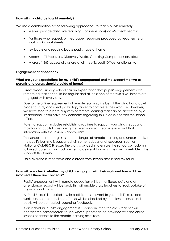## **How will my child be taught remotely?**

We use a combination of the following approaches to teach pupils remotely:

- We will provide daily 'live teaching' (online lessons) via Microsoft Teams;
- For those who request, printed paper resources produced by teachers (e.g. workbooks, worksheets);
- textbooks and reading books pupils have at home;
- Access to TT Rockstars, Discovery World, Cracking Comprehension, etc.;
- Microsoft 365 access allows use of all the Microsoft Office functionality.

## **Engagement and feedback**

## **What are your expectations for my child's engagement and the support that we as parents and carers should provide at home?**

Great Wood Primary School has an expectation that pupils' engagement with remote education should be regular and at least one of the two 'live' lessons are engaged with every day.

Due to the online requirement of remote learning, it is best if the child has a quiet place to study and ideally a laptop/tablet to complete their work on. However, we have tried to create a system of remote learning that can be accessed by a smartphone. If you have any concerns regarding this, please contact the school office.

Parental support includes establishing routines to support your child's education, maintaining pupils focus during the 'live' Microsoft Teams lesson and that interaction with the lesson is appropriate.

The school team recognises the challenges of remote learning and understands, if the pupil's learning is supported with other educational resources, such as National Oak/BBC Bitesize. The work provided is to ensure the school curriculum is followed, parents can modify when to deliver it following their own timetable if this supports the family.

Daily exercise is imperative and a break from screen time is healthy for all.

## **How will you check whether my child is engaging with their work and how will I be informed if there are concerns?**

Pupils' engagement with remote education will be monitored daily and an attendance record will be kept, this will enable class teachers to track uptake of the individual pupils.

A 'Pupil Folder' is located in Microsoft Teams relevant to your child's class and work can be uploaded here. These will be checked by the class teacher and pupils will be contacted regarding feedback.

If an individual pupil's engagement is a concern, then the class teacher will contact the parent/carers to see what support can be provided with the online lessons or access to the remote learning resources.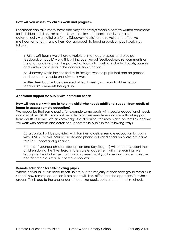## **How will you assess my child's work and progress?**

Feedback can take many forms and may not always mean extensive written comments for individual children. For example, whole-class feedback or quizzes marked automatically via digital platforms (Discovery World) are also valid and effective methods, amongst many others. Our approach to feeding back on pupil work is as follows:

In Microsoft Teams we will use a variety of methods to assess and provide feedback on pupils' work. This will include: verbal feedback/praise; comments on the chat function; using the posts/chat facility to contact individual pupils/parents and written comments in the conversation function.

As Discovery World has the facility to 'assign' work to pupils that can be graded and comments made on individuals work.

Written feedback will be delivered at least weekly with much of the verbal feedback/comments being daily.

## **Additional support for pupils with particular needs**

#### **How will you work with me to help my child who needs additional support from adults at home to access remote education?**

We recognise that some pupils, for example some pupils with special educational needs and disabilities (SEND), may not be able to access remote education without support from adults at home. We acknowledge the difficulties this may place on families, and we will work with parents and carers to support those pupils in the following ways:

Extra contact will be provided with families to deliver remote education for pupils with SENDs. This will include one-to-one phone calls and chats on Microsoft Teams to offer support and guidance.

Parents of younger children (Reception and Key Stage 1) will need to support their children during the 'live' lessons to ensure engagement with the learning. We recognise the challenge that this may present so if you have any concerns please contact the class teacher or the school office.

#### **Remote education for self-isolating pupils**

Where individual pupils need to self-isolate but the majority of their peer group remains in school, how remote education is provided will likely differ from the approach for whole groups. This is due to the challenges of teaching pupils both at home and in school.